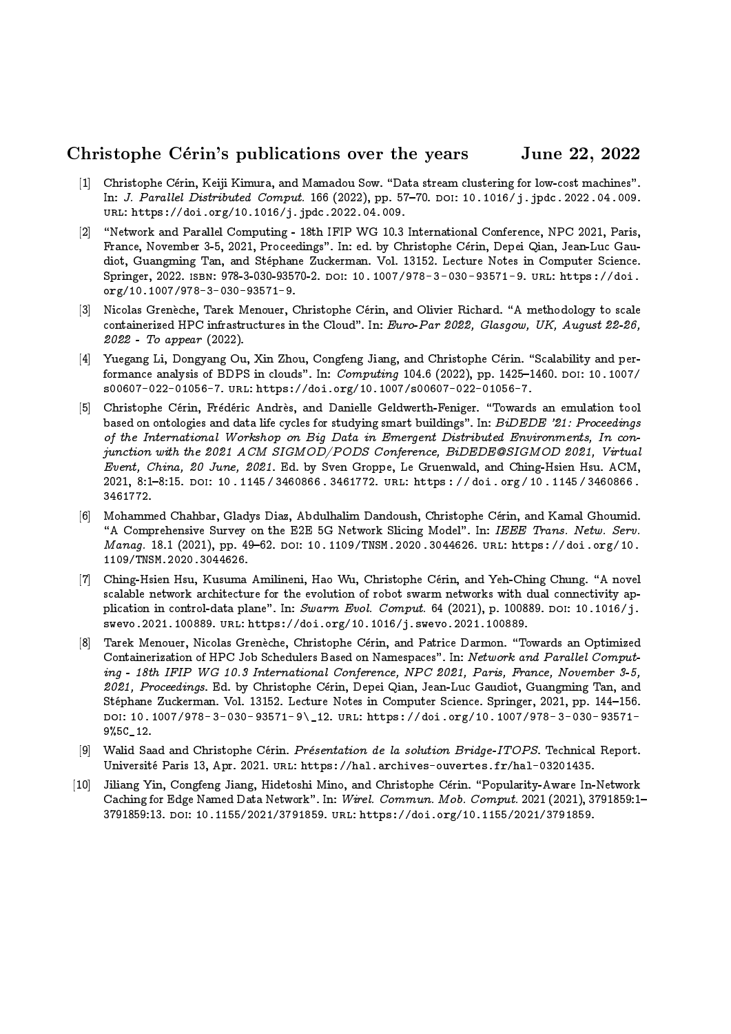## Christophe Cérin's publications over the years June 22, 2022

- [1] Christophe Cérin, Keiji Kimura, and Mamadou Sow. "Data stream clustering for low-cost machines". In: J. Parallel Distributed Comput. 166 (2022), pp. 57-70. DOI: 10.1016/j.jpdc.2022.04.009. url: https://doi.org/10.1016/j.jpdc.2022.04.009.
- [2] "Network and Parallel Computing 18th IFIP WG 10.3 International Conference, NPC 2021, Paris, France, November 3-5, 2021, Proceedings". In: ed. by Christophe Cérin, Depei Qian, Jean-Luc Gaudiot, Guangming Tan, and Stephane Zuckerman. Vol. 13152. Lecture Notes in Computer Science. Springer, 2022. isbn: 978-3-030-93570-2. doi: 10.1007/978- 3-030- 93571- 9. url: https://doi. org/10.1007/978-3-030-93571-9.
- [3] Nicolas Grenèche, Tarek Menouer, Christophe Cérin, and Olivier Richard. "A methodology to scale containerized HPC infrastructures in the Cloud". In: Euro-Par 2022, Glasgow, UK, August 22-26, 2022 - To appear (2022).
- [4] Yuegang Li, Dongyang Ou, Xin Zhou, Congfeng Jiang, and Christophe Cérin. "Scalability and performance analysis of BDPS in clouds". In:  $Computing 104.6 (2022)$ , pp. 1425-1460. DOI: 10.1007/ s00607-022-01056-7. url: https://doi.org/10.1007/s00607-022-01056-7.
- [5] Christophe Cérin, Frédéric Andrès, and Danielle Geldwerth-Feniger. "Towards an emulation tool based on ontologies and data life cycles for studying smart buildings". In:  $BiDEDE$  '21: Proceedings of the International Workshop on Big Data in Emergent Distributed Environments, In conjunction with the 2021 ACM SIGMOD/PODS Conference, BiDEDE@SIGMOD 2021, Virtual Event, China, 20 June, 2021. Ed. by Sven Groppe, Le Gruenwald, and Ching-Hsien Hsu. ACM,  $2021, 8:1-8:15.$  DOI: 10.1145/3460866.3461772. URL: https://doi.org/10.1145/3460866. 3461772.
- [6] Mohammed Chahbar, Gladys Diaz, Abdulhalim Dandoush, Christophe Cerin, and Kamal Ghoumid. "A Comprehensive Survey on the E2E 5G Network Slicing Model". In: IEEE Trans. Netw. Serv. Manag. 18.1 (2021), pp. 49-62. DOI: 10.1109/TNSM.2020.3044626. URL: https://doi.org/10. 1109/TNSM.2020.3044626.
- [7] Ching-Hsien Hsu, Kusuma Amilineni, Hao Wu, Christophe Cerin, and Yeh-Ching Chung. \A novel scalable network architecture for the evolution of robot swarm networks with dual connectivity application in control-data plane". In: Swarm Evol. Comput. 64 (2021), p. 100889. DOI: 10.1016/j. swevo.2021.100889. url: https://doi.org/10.1016/j.swevo.2021.100889.
- [8] Tarek Menouer, Nicolas Grenèche, Christophe Cérin, and Patrice Darmon. "Towards an Optimized Containerization of HPC Job Schedulers Based on Namespaces". In: Network and Parallel Computing - 18th IFIP WG 10.3 International Conference, NPC 2021, Paris, France, November 3-5, 2021, Proceedings. Ed. by Christophe Cérin, Depei Qian, Jean-Luc Gaudiot, Guangming Tan, and Stéphane Zuckerman. Vol. 13152. Lecture Notes in Computer Science. Springer, 2021, pp. 144–156. doi: 10.1007/978- 3- 030- 93571- 9\\_12. url: https://doi.org/10.1007/978- 3- 030- 93571- 9%5C\_12.
- [9] Walid Saad and Christophe Cérin. *Présentation de la solution Bridge-ITOPS*. Technical Report. Universite Paris 13, Apr. 2021. url: https://hal.archives-ouvertes.fr/hal-03201435.
- [10] Jiliang Yin, Congfeng Jiang, Hidetoshi Mino, and Christophe Cérin. "Popularity-Aware In-Network Caching for Edge Named Data Network". In: *Wirel. Commun. Mob. Comput.* 2021 (2021), 3791859:1-3791859:13. doi: 10.1155/2021/3791859. url: https://doi.org/10.1155/2021/3791859.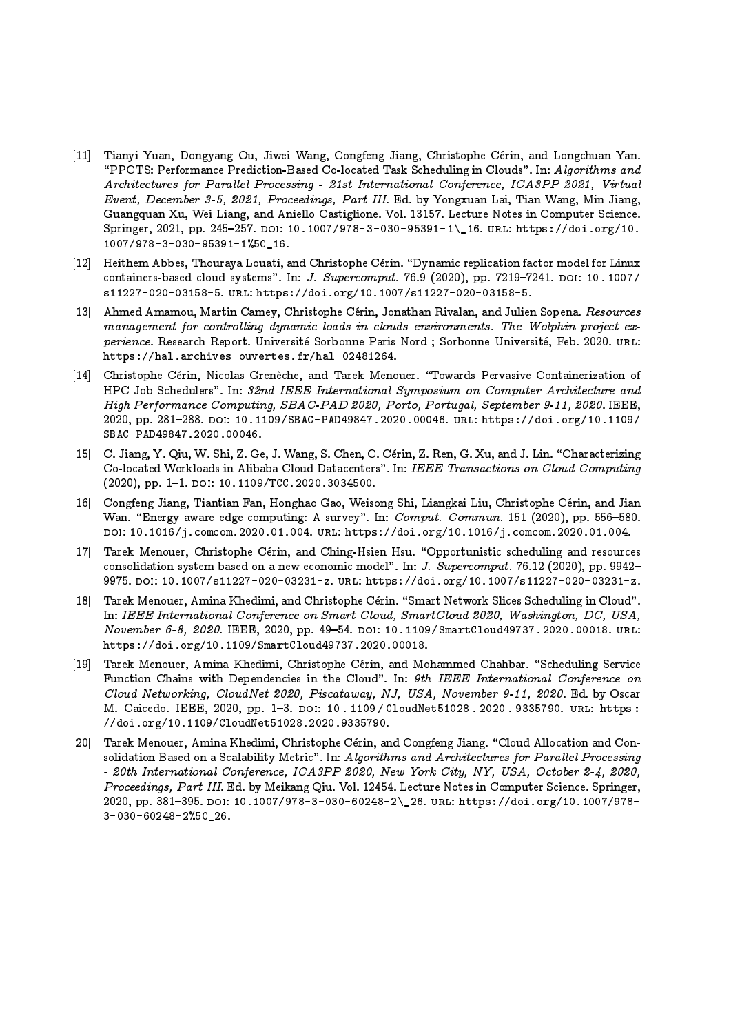- [11] Tianyi Yuan, Dongyang Ou, Jiwei Wang, Congfeng Jiang, Christophe Cerin, and Longchuan Yan. "PPCTS: Performance Prediction-Based Co-located Task Scheduling in Clouds". In: Algorithms and Architectures for Parallel Processing - 21st International Conference, ICA3PP 2021, Virtual Event, December 3-5, 2021, Proceedings, Part III. Ed. by Yongxuan Lai, Tian Wang, Min Jiang, Guangquan Xu, Wei Liang, and Aniello Castiglione. Vol. 13157. Lecture Notes in Computer Science. Springer, 2021, pp. 245-257. doi: 10.1007/978-3-030-95391-1\\_16. URL: https://doi.org/10. 1007/978-3-030-95391-1%5C\_16.
- [12] Heithem Abbes, Thouraya Louati, and Christophe Cérin. "Dynamic replication factor model for Linux containers-based cloud systems". In: J. Supercomput. 76.9 (2020), pp. 7219-7241. DOI: 10.1007/ s11227-020-03158-5. url: https://doi.org/10.1007/s11227-020-03158-5.
- [13] Ahmed Amamou, Martin Camey, Christophe Cérin, Jonathan Rivalan, and Julien Sopena. Resources management for controlling dynamic loads in clouds environments. The Wolphin project experience. Research Report. Université Sorbonne Paris Nord ; Sorbonne Université, Feb. 2020. URL: https://hal.archives-ouvertes.fr/hal-02481264.
- [14] Christophe Cérin, Nicolas Grenèche, and Tarek Menouer. "Towards Pervasive Containerization of HPC Job Schedulers". In: 32nd IEEE International Symposium on Computer Architecture and High Performance Computing, SBAC-PAD 2020, Porto, Portugal, September 9-11, 2020. IEEE, 2020, pp. 281{288. doi: 10.1109/SBAC-PAD49847.2020.00046. url: https://doi.org/10.1109/ SBAC-PAD49847.2020.00046.
- [15] C. Jiang, Y. Qiu, W. Shi, Z. Ge, J. Wang, S. Chen, C. Cérin, Z. Ren, G. Xu, and J. Lin. "Characterizing Co-located Workloads in Alibaba Cloud Datacenters". In: IEEE Transactions on Cloud Computing  $(2020)$ , pp. 1-1. DOI: 10.1109/TCC.2020.3034500.
- [16] Congfeng Jiang, Tiantian Fan, Honghao Gao, Weisong Shi, Liangkai Liu, Christophe Cérin, and Jian Wan. "Energy aware edge computing: A survey". In: Comput. Commun. 151 (2020), pp. 556-580. doi: 10.1016/j.comcom.2020.01.004. url: https://doi.org/10.1016/j.comcom.2020.01.004.
- [17] Tarek Menouer, Christophe Cérin, and Ching-Hsien Hsu. "Opportunistic scheduling and resources consolidation system based on a new economic model". In: J. Supercomput. 76.12 (2020), pp. 9942-9975. DOI: 10.1007/s11227-020-03231-z. URL: https://doi.org/10.1007/s11227-020-03231-z.
- [18] Tarek Menouer, Amina Khedimi, and Christophe Cérin. "Smart Network Slices Scheduling in Cloud". In: IEEE International Conference on Smart Cloud, SmartCloud 2020, Washington, DC, USA, November 6-8, 2020. IEEE, 2020, pp. 49-54. DOI: 10.1109/SmartCloud49737.2020.00018. URL: https://doi.org/10.1109/SmartCloud49737.2020.00018.
- [19] Tarek Menouer, Amina Khedimi, Christophe Cérin, and Mohammed Chahbar. "Scheduling Service Function Chains with Dependencies in the Cloud". In: 9th IEEE International Conference on Cloud Networking, CloudNet 2020, Piscataway, NJ, USA, November 9-11, 2020. Ed. by Oscar M. Caicedo. IEEE, 2020, pp. 1-3. DOI: 10. 1109 / CloudNet51028 . 2020 . 9335790. URL: https : //doi.org/10.1109/CloudNet51028.2020.9335790.
- [20] Tarek Menouer, Amina Khedimi, Christophe Cérin, and Congfeng Jiang. "Cloud Allocation and Consolidation Based on a Scalability Metric". In: Algorithms and Architectures for Parallel Processing - 20th International Conference, ICA3PP 2020, New York City, NY, USA, October 2-4, 2020, Proceedings, Part III. Ed. by Meikang Qiu. Vol. 12454. Lecture Notes in Computer Science. Springer, 2020, pp. 381{395. doi: 10.1007/978-3-030-60248-2\\_26. url: https://doi.org/10.1007/978- 3-030-60248-2%5C\_26.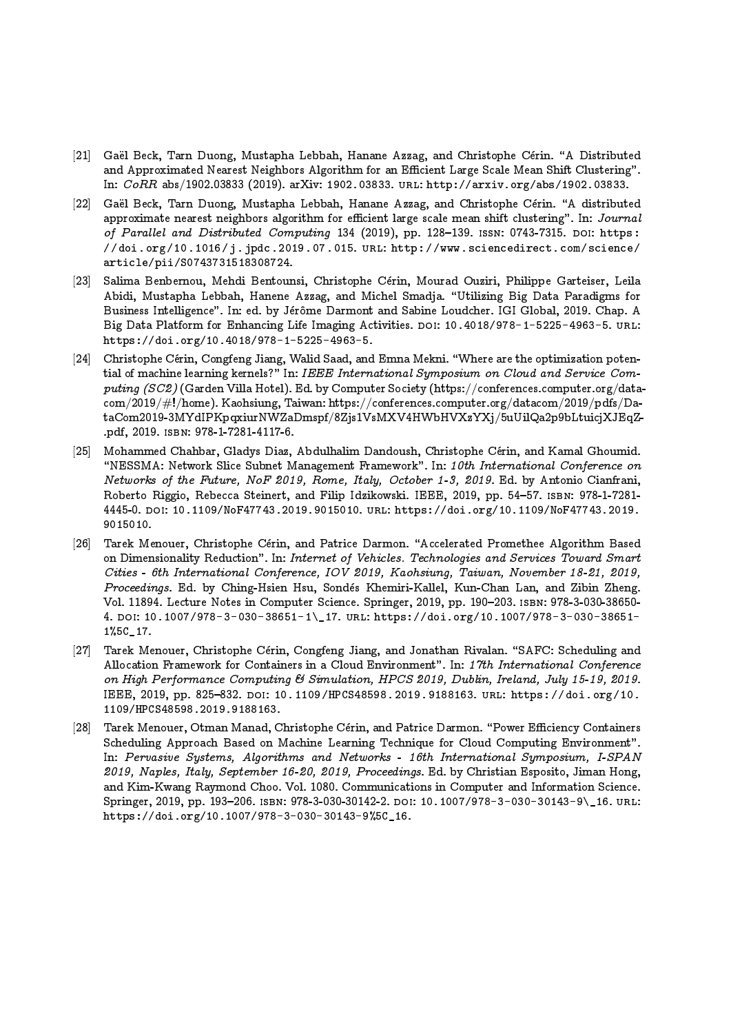- [21] Gaël Beck, Tarn Duong, Mustapha Lebbah, Hanane Azzag, and Christophe Cérin. "A Distributed and Approximated Nearest Neighbors Algorithm for an Efficient Large Scale Mean Shift Clustering". In: CoRR abs/1902.03833 (2019). arXiv: 1902.03833. url: http://arxiv.org/abs/1902.03833.
- [22] Gaël Beck, Tarn Duong, Mustapha Lebbah, Hanane Azzag, and Christophe Cérin. "A distributed approximate nearest neighbors algorithm for efficient large scale mean shift clustering". In: Journal of Parallel and Distributed Computing 134 (2019), pp. 128-139. ISSN: 0743-7315. DOI: https :  $\frac{1}{d}$  and  $\frac{1016}{i}$  and  $\frac{1016}{i}$  index. 2019.07.015. URL: http://www.sciencedirect.com/science/ article/pii/S0743731518308724.
- [23] Salima Benbernou, Mehdi Bentounsi, Christophe Cerin, Mourad Ouziri, Philippe Garteiser, Leila Abidi, Mustapha Lebbah, Hanene Azzag, and Michel Smadja. \Utilizing Big Data Paradigms for Business Intelligence". In: ed. by Jérôme Darmont and Sabine Loudcher. IGI Global, 2019. Chap. A Big Data Platform for Enhancing Life Imaging Activities. DOI: 10.4018/978-1-5225-4963-5. URL: https://doi.org/10.4018/978-1-5225-4963-5.
- [24] Christophe Cérin, Congfeng Jiang, Walid Saad, and Emna Mekni. "Where are the optimization potential of machine learning kernels?" In: IEEE International Symposium on Cloud and Service Computing  $(SC2)$  (Garden Villa Hotel). Ed. by Computer Society (https://conferences.computer.org/datacom/2019/#!/home). Kaohsiung, Taiwan: https://conferences.computer.org/datacom/2019/pdfs/DataCom2019-3MYdIPKpqxiurNWZaDmspf/8Zjs1VsMXV4HWbHVXzYXj/5uUilQa2p9bLtuicjXJEqZ- .pdf, 2019. isbn: 978-1-7281-4117-6.
- [25] Mohammed Chahbar, Gladys Diaz, Abdulhalim Dandoush, Christophe Cerin, and Kamal Ghoumid. "NESSMA: Network Slice Subnet Management Framework". In: 10th International Conference on Networks of the Future, NoF 2019, Rome, Italy, October 1-3, 2019. Ed. by Antonio Cianfrani, Roberto Riggio, Rebecca Steinert, and Filip Idzikowski. IEEE, 2019, pp. 54-57. ISBN: 978-1-7281-4445-0. doi: 10.1109/NoF47743.2019.9015010. url: https://doi.org/10.1109/NoF47743.2019. 9015010.
- [26] Tarek Menouer, Christophe Cérin, and Patrice Darmon. "Accelerated Promethee Algorithm Based on Dimensionality Reduction". In: Internet of Vehicles. Technologies and Services Toward Smart Cities - 6th International Conference, IOV 2019, Kaohsiung, Taiwan, November 18-21, 2019, Proceedings. Ed. by Ching-Hsien Hsu, Sondés Khemiri-Kallel, Kun-Chan Lan, and Zibin Zheng. Vol. 11894. Lecture Notes in Computer Science. Springer, 2019, pp. 190-203. ISBN: 978-3-030-38650-4. doi: 10.1007/978-3-030-38651-1\\_17. url: https://doi.org/10.1007/978-3-030-38651- 1%5C\_17.
- [27] Tarek Menouer, Christophe Cérin, Congfeng Jiang, and Jonathan Rivalan. "SAFC: Scheduling and Allocation Framework for Containers in a Cloud Environment". In: 17th International Conference on High Performance Computing & Simulation, HPCS 2019, Dublin, Ireland, July 15-19, 2019. IEEE, 2019, pp. 825-832. DOI: 10.1109/HPCS48598.2019.9188163. URL: https://doi.org/10. 1109/HPCS48598.2019.9188163.
- [28] Tarek Menouer, Otman Manad, Christophe Cérin, and Patrice Darmon. "Power Efficiency Containers Scheduling Approach Based on Machine Learning Technique for Cloud Computing Environment". In: Pervasive Systems, Algorithms and Networks - 16th International Symposium, I-SPAN 2019, Naples, Italy, September 16-20, 2019, Proceedings. Ed. by Christian Esposito, Jiman Hong, and Kim-Kwang Raymond Choo. Vol. 1080. Communications in Computer and Information Science. Springer, 2019, pp. 193-206. ISBN: 978-3-030-30142-2. DOI: 10.1007/978-3-030-30143-9\16. URL: https://doi.org/10.1007/978-3-030-30143-9%5C\_16.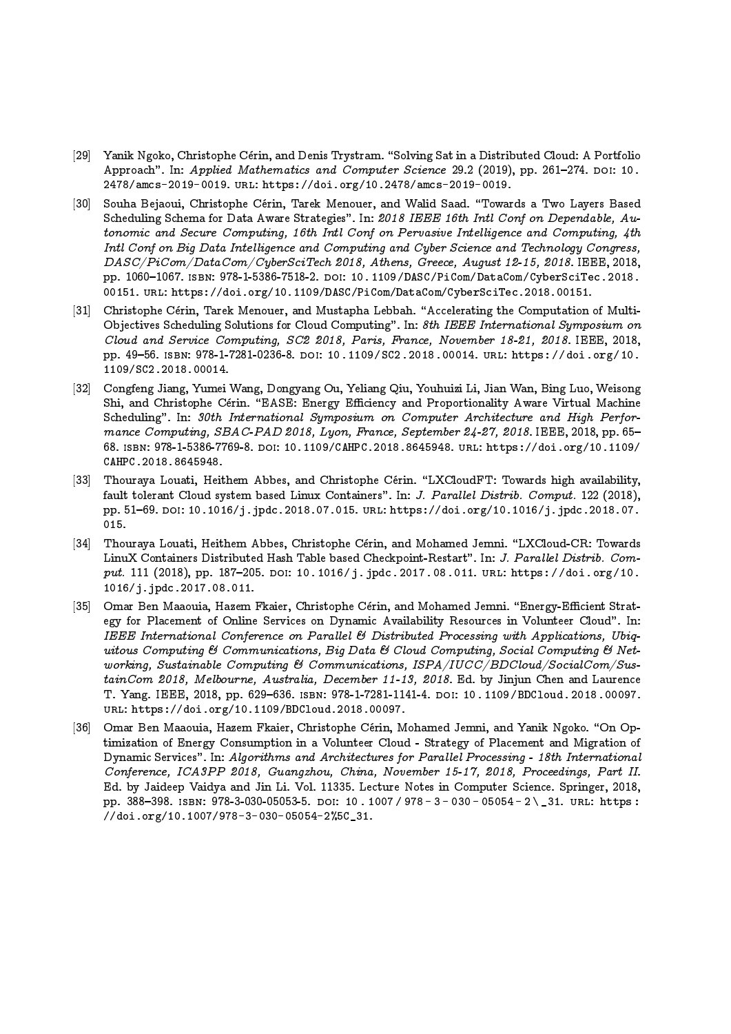- [29] Yanik Ngoko, Christophe Cérin, and Denis Trystram. "Solving Sat in a Distributed Cloud: A Portfolio Approach". In: Applied Mathematics and Computer Science 29.2 (2019), pp. 261-274. DOI: 10. 2478/amcs-2019-0019. url: https://doi.org/10.2478/amcs-2019-0019.
- [30] Souha Bejaoui, Christophe Cérin, Tarek Menouer, and Walid Saad. "Towards a Two Layers Based Scheduling Schema for Data Aware Strategies". In: 2018 IEEE 16th Intl Conf on Dependable, Autonomic and Secure Computing, 16th Intl Conf on Pervasive Intelligence and Computing, 4th Intl Conf on Big Data Intelligence and Computing and Cyber Science and Technology Congress, DASC/PiCom/DataCom/CyberSciTech 2018, Athens, Greece, August 12-15, 2018. IEEE, 2018, pp. 1060{1067. isbn: 978-1-5386-7518-2. doi: 10.1109/DASC/PiCom/DataCom/CyberSciTec.2018. 00151. url: https://doi.org/10.1109/DASC/PiCom/DataCom/CyberSciTec.2018.00151.
- [31] Christophe Cérin, Tarek Menouer, and Mustapha Lebbah. "Accelerating the Computation of Multi-Objectives Scheduling Solutions for Cloud Computing". In: 8th IEEE International Symposium on Cloud and Service Computing, SC2 2018, Paris, France, November 18-21, 2018. IEEE, 2018, pp. 49-56. ISBN: 978-1-7281-0236-8. DOI: 10.1109/SC2.2018.00014. URL: https://doi.org/10. 1109/SC2.2018.00014.
- [32] Congfeng Jiang, Yumei Wang, Dongyang Ou, Yeliang Qiu, Youhuizi Li, Jian Wan, Bing Luo, Weisong Shi, and Christophe Cérin. "EASE: Energy Efficiency and Proportionality Aware Virtual Machine Scheduling". In: 30th International Symposium on Computer Architecture and High Performance Computing, SBAC-PAD 2018, Lyon, France, September 24-27, 2018. IEEE, 2018, pp. 65-68. isbn: 978-1-5386-7769-8. doi: 10.1109/CAHPC.2018.8645948. url: https://doi.org/10.1109/ CAHPC.2018.8645948.
- [33] Thouraya Louati, Heithem Abbes, and Christophe Cérin. "LXCloudFT: Towards high availability, fault tolerant Cloud system based Linux Containers". In: J. Parallel Distrib. Comput. 122 (2018), pp. 51-69. DOI: 10.1016/j.jpdc.2018.07.015. URL: https://doi.org/10.1016/j.jpdc.2018.07. 015.
- [34] Thouraya Louati, Heithem Abbes, Christophe Cérin, and Mohamed Jemni. "LXCloud-CR: Towards LinuX Containers Distributed Hash Table based Checkpoint-Restart". In: J. Parallel Distrib. Comput. 111 (2018), pp. 187-205. DOI: 10.1016/j.jpdc.2017.08.011. URL: https://doi.org/10. 1016/j.jpdc.2017.08.011.
- [35] Omar Ben Maaouia, Hazem Fkaier, Christophe Cérin, and Mohamed Jemni. "Energy-Efficient Strategy for Placement of Online Services on Dynamic Availability Resources in Volunteer Cloud". In: IEEE International Conference on Parallel & Distributed Processing with Applications, Ubiquitous Computing & Communications, Big Data & Cloud Computing, Social Computing & Networking, Sustainable Computing & Communications, ISPA/IUCC/BDCloud/SocialCom/SustainCom 2018, Melbourne, Australia, December 11-13, 2018. Ed. by Jinjun Chen and Laurence T. Yang. IEEE, 2018, pp. 629-636. ISBN: 978-1-7281-1141-4. DOI: 10.1109/BDCloud.2018.00097. url: https://doi.org/10.1109/BDCloud.2018.00097.
- [36] Omar Ben Maaouia, Hazem Fkaier, Christophe Cérin, Mohamed Jemni, and Yanik Ngoko. "On Optimization of Energy Consumption in a Volunteer Cloud - Strategy of Placement and Migration of Dynamic Services". In: Algorithms and Architectures for Parallel Processing - 18th International Conference, ICA3PP 2018, Guangzhou, China, November 15-17, 2018, Proceedings, Part II. Ed. by Jaideep Vaidya and Jin Li. Vol. 11335. Lecture Notes in Computer Science. Springer, 2018, pp. 388-398. ISBN: 978-3-030-05053-5. DOI: 10. 1007 / 978 - 3 - 030 - 05054 - 2 \ \_31. URL: https : //doi.org/10.1007/978-3-030-05054-2%5C\_31.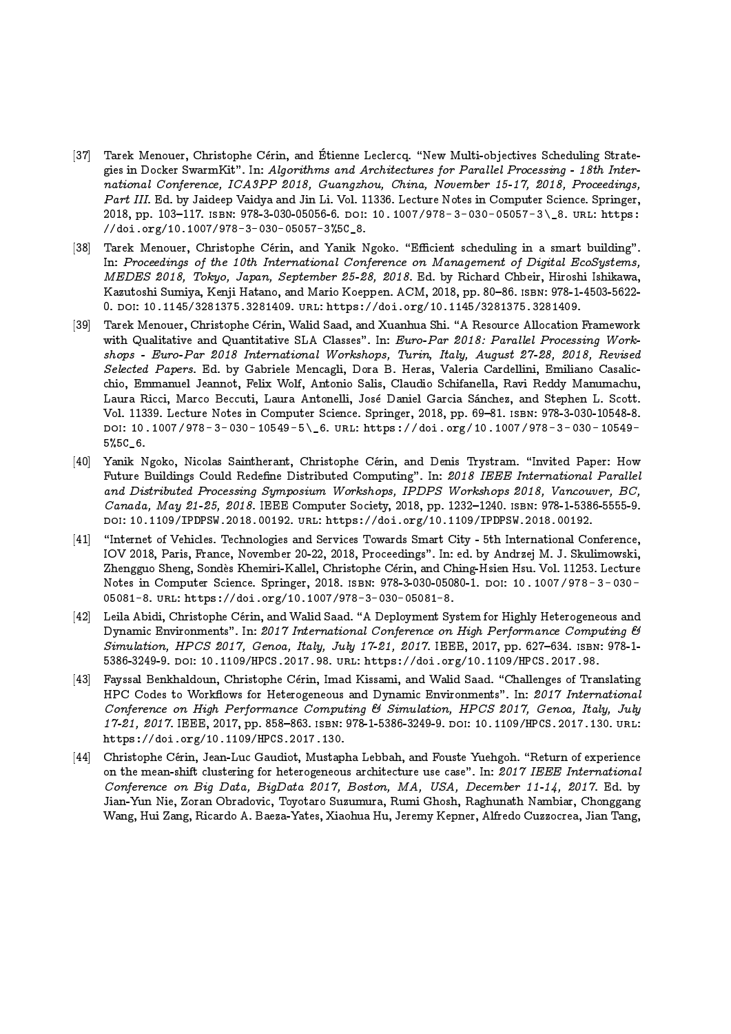- [37] Tarek Menouer, Christophe Cérin, and Étienne Leclercq. "New Multi-objectives Scheduling Strategies in Docker SwarmKit". In: Algorithms and Architectures for Parallel Processing - 18th International Conference, ICA3PP 2018, Guangzhou, China, November 15-17, 2018, Proceedings, Part III. Ed. by Jaideep Vaidya and Jin Li. Vol. 11336. Lecture Notes in Computer Science. Springer, 2018, pp. 103-117. ISBN: 978-3-030-05056-6. doi: 10.1007/978-3-030-05057-3\\_8. url: https: //doi.org/10.1007/978-3-030-05057-3%5C\_8.
- [38] Tarek Menouer, Christophe Cérin, and Yanik Ngoko. "Efficient scheduling in a smart building". In: Proceedings of the 10th International Conference on Management of Digital EcoSystems, MEDES 2018, Tokyo, Japan, September 25-28, 2018. Ed. by Richard Chbeir, Hiroshi Ishikawa, Kazutoshi Sumiya, Kenji Hatano, and Mario Koeppen. ACM, 2018, pp. 80-86. ISBN: 978-1-4503-5622-0. doi: 10.1145/3281375.3281409. url: https://doi.org/10.1145/3281375.3281409.
- [39] Tarek Menouer, Christophe Cérin, Walid Saad, and Xuanhua Shi. "A Resource Allocation Framework with Qualitative and Quantitative SLA Classes". In: Euro-Par 2018: Parallel Processing Workshops - Euro-Par 2018 International Workshops, Turin, Italy, August 27-28, 2018, Revised Selected Papers. Ed. by Gabriele Mencagli, Dora B. Heras, Valeria Cardellini, Emiliano Casalicchio, Emmanuel Jeannot, Felix Wolf, Antonio Salis, Claudio Schifanella, Ravi Reddy Manumachu, Laura Ricci, Marco Beccuti, Laura Antonelli, Jose Daniel Garcia Sanchez, and Stephen L. Scott. Vol. 11339. Lecture Notes in Computer Science. Springer, 2018, pp. 69-81. ISBN: 978-3-030-10548-8. doi: 10.1007/978- 3- 030- 10549- 5\\_6. url: https://doi.org/10.1007/978- 3- 030- 10549- 5%5C\_6.
- [40] Yanik Ngoko, Nicolas Saintherant, Christophe Cérin, and Denis Trystram. "Invited Paper: How Future Buildings Could Redefine Distributed Computing". In: 2018 IEEE International Parallel and Distributed Processing Symposium Workshops, IPDPS Workshops 2018, Vancouver, BC, Canada, May 21-25, 2018. IEEE Computer Society, 2018, pp. 1232-1240. ISBN: 978-1-5386-5555-9. doi: 10.1109/IPDPSW.2018.00192. url: https://doi.org/10.1109/IPDPSW.2018.00192.
- [41] "Internet of Vehicles. Technologies and Services Towards Smart City 5th International Conference, IOV 2018, Paris, France, November 20-22, 2018, Proceedings". In: ed. by Andrzej M. J. Skulimowski, Zhengguo Sheng, Sondes Khemiri-Kallel, Christophe Cerin, and Ching-Hsien Hsu. Vol. 11253. Lecture Notes in Computer Science. Springer, 2018. ISBN: 978-3-030-05080-1. DOI: 10.1007/978-3-030-05081-8. url: https://doi.org/10.1007/978-3-030-05081-8.
- [42] Leila Abidi, Christophe Cérin, and Walid Saad. "A Deployment System for Highly Heterogeneous and Dynamic Environments". In: 2017 International Conference on High Performance Computing & Simulation, HPCS 2017, Genoa, Italy, July 17-21, 2017. IEEE, 2017, pp. 627-634. ISBN: 978-1-5386-3249-9. doi: 10.1109/HPCS.2017.98. url: https://doi.org/10.1109/HPCS.2017.98.
- [43] Fayssal Benkhaldoun, Christophe Cérin, Imad Kissami, and Walid Saad. "Challenges of Translating HPC Codes to Workflows for Heterogeneous and Dynamic Environments". In: 2017 International Conference on High Performance Computing & Simulation, HPCS 2017, Genoa, Italy, July 17-21, 2017. IEEE, 2017, pp. 858-863. ISBN: 978-1-5386-3249-9. DOI: 10.1109/HPCS.2017.130. URL: https://doi.org/10.1109/HPCS.2017.130.
- [44] Christophe Cérin, Jean-Luc Gaudiot, Mustapha Lebbah, and Fouste Yuehgoh. "Return of experience on the mean-shift clustering for heterogeneous architecture use case". In: 2017 IEEE International Conference on Big Data, BigData 2017, Boston, MA, USA, December 11-14, 2017. Ed. by Jian-Yun Nie, Zoran Obradovic, Toyotaro Suzumura, Rumi Ghosh, Raghunath Nambiar, Chonggang Wang, Hui Zang, Ricardo A. Baeza-Yates, Xiaohua Hu, Jeremy Kepner, Alfredo Cuzzocrea, Jian Tang,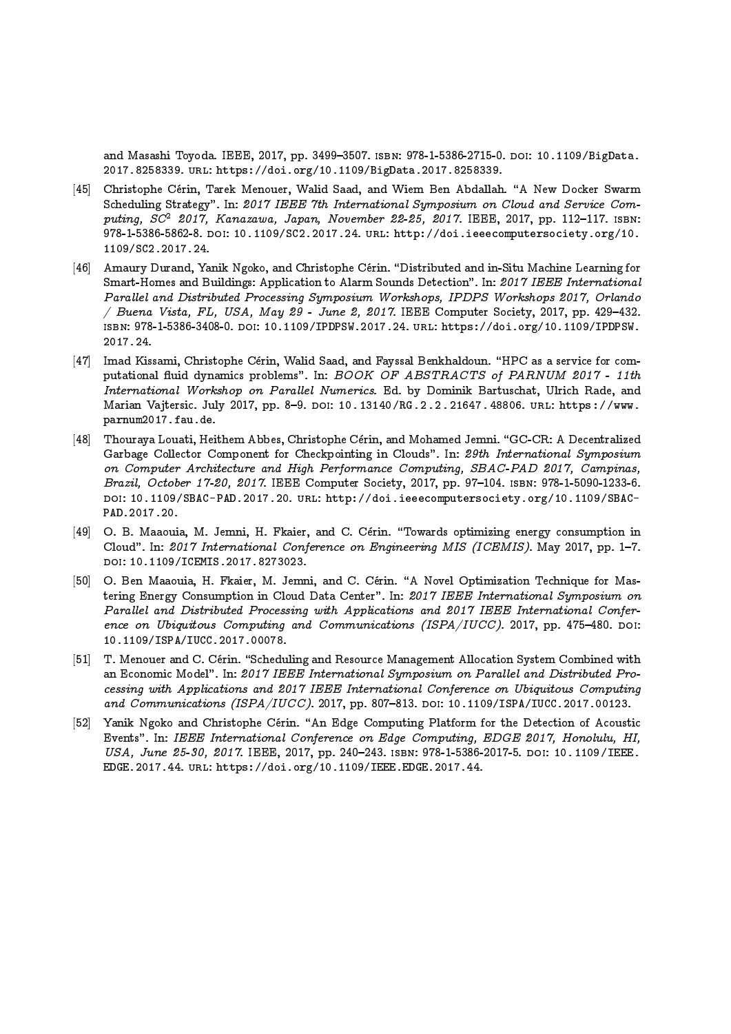and Masashi Toyoda. IEEE, 2017, pp. 3499–3507. ISBN: 978-1-5386-2715-0. doi: 10.1109/BigData. 2017.8258339. url: https://doi.org/10.1109/BigData.2017.8258339.

- [45] Christophe Cérin, Tarek Menouer, Walid Saad, and Wiem Ben Abdallah. "A New Docker Swarm Scheduling Strategy". In: 2017 IEEE 7th International Symposium on Cloud and Service Computing,  $SC^2$  2017, Kanazawa, Japan, November 22-25, 2017. IEEE, 2017, pp. 112-117. ISBN: 978-1-5386-5862-8. doi: 10.1109/SC2.2017.24. url: http://doi.ieeecomputersociety.org/10. 1109/SC2.2017.24.
- [46] Amaury Durand, Yanik Ngoko, and Christophe Cérin. "Distributed and in-Situ Machine Learning for Smart-Homes and Buildings: Application to Alarm Sounds Detection". In: 2017 IEEE International Parallel and Distributed Processing Symposium Workshops, IPDPS Workshops 2017, Orlando  $/$  Buena Vista, FL, USA, May 29 - June 2, 2017. IEEE Computer Society, 2017, pp. 429-432. isbn: 978-1-5386-3408-0. doi: 10.1109/IPDPSW.2017.24. url: https://doi.org/10.1109/IPDPSW. 2017.24.
- [47] Imad Kissami, Christophe Cérin, Walid Saad, and Fayssal Benkhaldoun. "HPC as a service for computational fluid dynamics problems". In: BOOK OF ABSTRACTS of PARNUM 2017 - 11th International Workshop on Parallel Numerics. Ed. by Dominik Bartuschat, Ulrich Rade, and Marian Vajtersic. July 2017, pp. 8-9. DOI: 10.13140/RG.2.2.21647.48806. URL: https://www. parnum2017.fau.de.
- [48] Thouraya Louati, Heithem Abbes, Christophe Cérin, and Mohamed Jemni. "GC-CR: A Decentralized Garbage Collector Component for Checkpointing in Clouds". In: 29th International Symposium on Computer Architecture and High Performance Computing, SBAC-PAD 2017, Campinas, Brazil, October 17-20, 2017. IEEE Computer Society, 2017, pp. 97-104. ISBN: 978-1-5090-1233-6. DOI: 10.1109/SBAC-PAD.2017.20. URL: http://doi.ieeecomputersociety.org/10.1109/SBAC-PAD.2017.20.
- [49] O. B. Maaouia, M. Jemni, H. Fkaier, and C. Cérin. "Towards optimizing energy consumption in Cloud". In: 2017 International Conference on Engineering MIS (ICEMIS). May 2017, pp. 1-7. doi: 10.1109/ICEMIS.2017.8273023.
- [50] O. Ben Maaouia, H. Fkaier, M. Jemni, and C. Cérin. "A Novel Optimization Technique for Mastering Energy Consumption in Cloud Data Center". In: 2017 IEEE International Symposium on Parallel and Distributed Processing with Applications and 2017 IEEE International Conference on Ubiquitous Computing and Communications (ISPA/IUCC). 2017, pp. 475-480. DOI: 10.1109/ISPA/IUCC.2017.00078.
- [51] T. Menouer and C. Cérin. "Scheduling and Resource Management Allocation System Combined with an Economic Model". In: 2017 IEEE International Symposium on Parallel and Distributed Processing with Applications and 2017 IEEE International Conference on Ubiquitous Computing and Communications (ISPA/IUCC). 2017, pp. 807-813. DOI: 10.1109/ISPA/IUCC.2017.00123.
- [52] Yanik Ngoko and Christophe Cérin. "An Edge Computing Platform for the Detection of Acoustic Events". In: IEEE International Conference on Edge Computing, EDGE 2017, Honolulu, HI, USA, June 25-30, 2017. IEEE, 2017, pp. 240-243. ISBN: 978-1-5386-2017-5. DOI: 10.1109/IEEE. EDGE.2017.44. url: https://doi.org/10.1109/IEEE.EDGE.2017.44.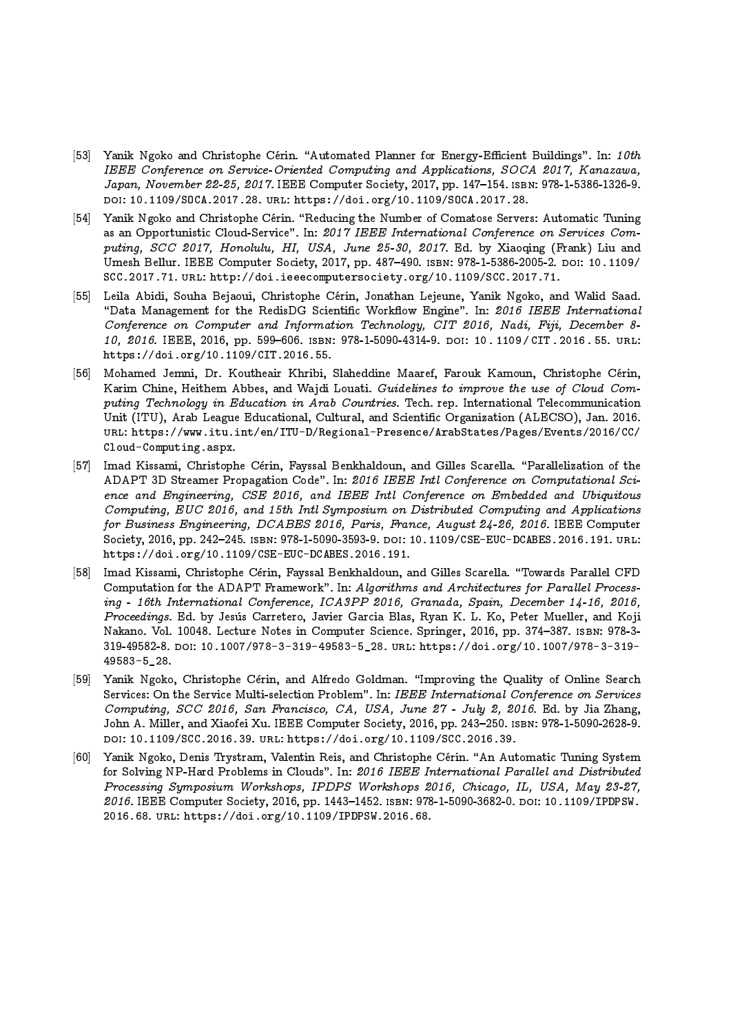- [53] Yanik Ngoko and Christophe Cérin. "Automated Planner for Energy-Efficient Buildings". In: 10th IEEE Conference on Service-Oriented Computing and Applications, SOCA 2017, Kanazawa, Japan, November 22-25, 2017. IEEE Computer Society, 2017, pp. 147-154. ISBN: 978-1-5386-1326-9. doi: 10.1109/SOCA.2017.28. url: https://doi.org/10.1109/SOCA.2017.28.
- [54] Yanik Ngoko and Christophe Cérin. "Reducing the Number of Comatose Servers: Automatic Tuning as an Opportunistic Cloud-Service". In: 2017 IEEE International Conference on Services Computing, SCC 2017, Honolulu, HI, USA, June 25-30, 2017. Ed. by Xiaoqing (Frank) Liu and Umesh Bellur. IEEE Computer Society, 2017, pp. 487-490. ISBN: 978-1-5386-2005-2. doi: 10.1109/ SCC.2017.71. url: http://doi.ieeecomputersociety.org/10.1109/SCC.2017.71.
- [55] Leila Abidi, Souha Bejaoui, Christophe Cerin, Jonathan Lejeune, Yanik Ngoko, and Walid Saad. "Data Management for the RedisDG Scientific Workflow Engine". In: 2016 IEEE International Conference on Computer and Information Technology, CIT 2016, Nadi, Fiji, December 8- 10, 2016. IEEE, 2016, pp. 599-606. ISBN: 978-1-5090-4314-9. DOI: 10.1109/CIT. 2016. 55. URL: https://doi.org/10.1109/CIT.2016.55.
- [56] Mohamed Jemni, Dr. Koutheair Khribi, Slaheddine Maaref, Farouk Kamoun, Christophe Cerin, Karim Chine, Heithem Abbes, and Wajdi Louati. Guidelines to improve the use of Cloud Computing Technology in Education in Arab Countries. Tech. rep. International Telecommunication Unit (ITU), Arab League Educational, Cultural, and Scientic Organization (ALECSO), Jan. 2016. url: https://www.itu.int/en/ITU-D/Regional-Presence/ArabStates/Pages/Events/2016/CC/ Cloud-Computing.aspx.
- [57] Imad Kissami, Christophe Cérin, Fayssal Benkhaldoun, and Gilles Scarella. "Parallelization of the ADAPT 3D Streamer Propagation Code". In: 2016 IEEE Intl Conference on Computational Science and Engineering, CSE 2016, and IEEE Intl Conference on Embedded and Ubiquitous Computing, EUC 2016, and 15th Intl Symposium on Distributed Computing and Applications for Business Engineering, DCABES 2016, Paris, France, August 24-26, 2016. IEEE Computer Society, 2016, pp. 242–245. isbn: 978-1-5090-3593-9. doi: 10.1109/CSE-EUC-DCABES.2016.191. url: https://doi.org/10.1109/CSE-EUC-DCABES.2016.191.
- [58] Imad Kissami, Christophe Cérin, Fayssal Benkhaldoun, and Gilles Scarella. "Towards Parallel CFD Computation for the ADAPT Framework". In: Algorithms and Architectures for Parallel Processing - 16th International Conference, ICA3PP 2016, Granada, Spain, December 14-16, 2016, Proceedings. Ed. by Jesus Carretero, Javier Garcia Blas, Ryan K. L. Ko, Peter Mueller, and Koji Nakano. Vol. 10048. Lecture Notes in Computer Science. Springer, 2016, pp. 374–387. ISBN: 978-3-319-49582-8. doi: 10.1007/978-3-319-49583-5\_28. url: https://doi.org/10.1007/978-3-319- 49583-5\_28.
- [59] Yanik Ngoko, Christophe Cérin, and Alfredo Goldman. "Improving the Quality of Online Search Services: On the Service Multi-selection Problem". In: IEEE International Conference on Services Computing, SCC 2016, San Francisco, CA, USA, June 27 - July 2, 2016. Ed. by Jia Zhang, John A. Miller, and Xiaofei Xu. IEEE Computer Society, 2016, pp. 243–250. Isbn: 978-1-5090-2628-9. doi: 10.1109/SCC.2016.39. url: https://doi.org/10.1109/SCC.2016.39.
- [60] Yanik Ngoko, Denis Trystram, Valentin Reis, and Christophe Cérin. "An Automatic Tuning System for Solving NP-Hard Problems in Clouds". In: 2016 IEEE International Parallel and Distributed Processing Symposium Workshops, IPDPS Workshops 2016, Chicago, IL, USA, May 23-27, 2016. IEEE Computer Society, 2016, pp. 1443-1452. ISBN: 978-1-5090-3682-0. DOI: 10.1109/IPDPSW. 2016.68. url: https://doi.org/10.1109/IPDPSW.2016.68.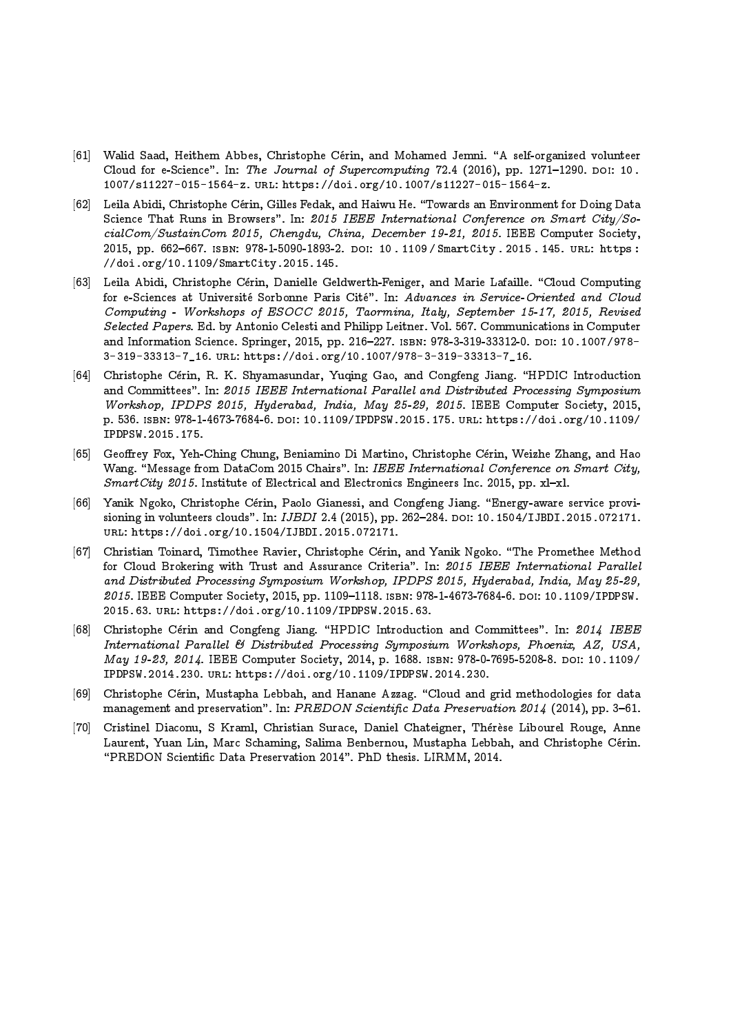- [61] Walid Saad, Heithem Abbes, Christophe Cérin, and Mohamed Jemni. "A self-organized volunteer Cloud for e-Science". In: The Journal of Supercomputing 72.4 (2016), pp. 1271-1290. DOI: 10. 1007/s11227-015-1564-z. url: https://doi.org/10.1007/s11227-015-1564-z.
- [62] Leila Abidi, Christophe Cérin, Gilles Fedak, and Haiwu He. "Towards an Environment for Doing Data Science That Runs in Browsers". In: 2015 IEEE International Conference on Smart City/SocialCom/SustainCom 2015, Chengdu, China, December 19-21, 2015. IEEE Computer Society, 2015, pp. 662-667. ISBN: 978-1-5090-1893-2. DOI: 10 . 1109 / SmartCity . 2015 . 145. URL: https : //doi.org/10.1109/SmartCity.2015.145.
- [63] Leila Abidi, Christophe Cérin, Danielle Geldwerth-Feniger, and Marie Lafaille. "Cloud Computing for e-Sciences at Université Sorbonne Paris Cité". In: Advances in Service-Oriented and Cloud Computing - Workshops of ESOCC 2015, Taormina, Italy, September 15-17, 2015, Revised Selected Papers. Ed. by Antonio Celesti and Philipp Leitner. Vol. 567. Communications in Computer and Information Science. Springer, 2015, pp. 216-227. ISBN: 978-3-319-33312-0. DOI: 10.1007/978-3-319-33313-7\_16. url: https://doi.org/10.1007/978-3-319-33313-7\_16.
- [64] Christophe Cérin, R. K. Shyamasundar, Yuqing Gao, and Congfeng Jiang. "HPDIC Introduction and Committees". In: 2015 IEEE International Parallel and Distributed Processing Symposium Workshop, IPDPS 2015, Hyderabad, India, May 25-29, 2015. IEEE Computer Society, 2015, p. 536. isbn: 978-1-4673-7684-6. doi: 10.1109/IPDPSW.2015.175. url: https://doi.org/10.1109/ IPDPSW.2015.175.
- [65] Geoffrey Fox, Yeh-Ching Chung, Beniamino Di Martino, Christophe Cérin, Weizhe Zhang, and Hao Wang. "Message from DataCom 2015 Chairs". In: IEEE International Conference on Smart City, SmartCity 2015. Institute of Electrical and Electronics Engineers Inc. 2015, pp. xl-xl.
- [66] Yanik Ngoko, Christophe Cérin, Paolo Gianessi, and Congfeng Jiang. "Energy-aware service provisioning in volunteers clouds". In: IJBDI 2.4 (2015), pp. 262-284. DOI: 10.1504/IJBDI.2015.072171. url: https://doi.org/10.1504/IJBDI.2015.072171.
- [67] Christian Toinard, Timothee Ravier, Christophe Cérin, and Yanik Ngoko. "The Promethee Method for Cloud Brokering with Trust and Assurance Criteria". In: 2015 IEEE International Parallel and Distributed Processing Symposium Workshop, IPDPS 2015, Hyderabad, India, May 25-29, 2015. IEEE Computer Society, 2015, pp. 1109-1118. ISBN: 978-1-4673-7684-6. DOI: 10.1109/IPDPSW. 2015.63. url: https://doi.org/10.1109/IPDPSW.2015.63.
- [68] Christophe Cérin and Congfeng Jiang. "HPDIC Introduction and Committees". In: 2014 IEEE International Parallel & Distributed Processing Symposium Workshops, Phoenix, AZ, USA, May 19-23, 2014. IEEE Computer Society, 2014, p. 1688. ISBN: 978-0-7695-5208-8. DOI: 10.1109/ IPDPSW.2014.230. url: https://doi.org/10.1109/IPDPSW.2014.230.
- [69] Christophe Cérin, Mustapha Lebbah, and Hanane Azzag. "Cloud and grid methodologies for data management and preservation". In: PREDON Scientific Data Preservation 2014 (2014), pp. 3-61.
- [70] Cristinel Diaconu, S Kraml, Christian Surace, Daniel Chateigner, Thérèse Libourel Rouge, Anne Laurent, Yuan Lin, Marc Schaming, Salima Benbernou, Mustapha Lebbah, and Christophe Cérin. \PREDON Scientic Data Preservation 2014". PhD thesis. LIRMM, 2014.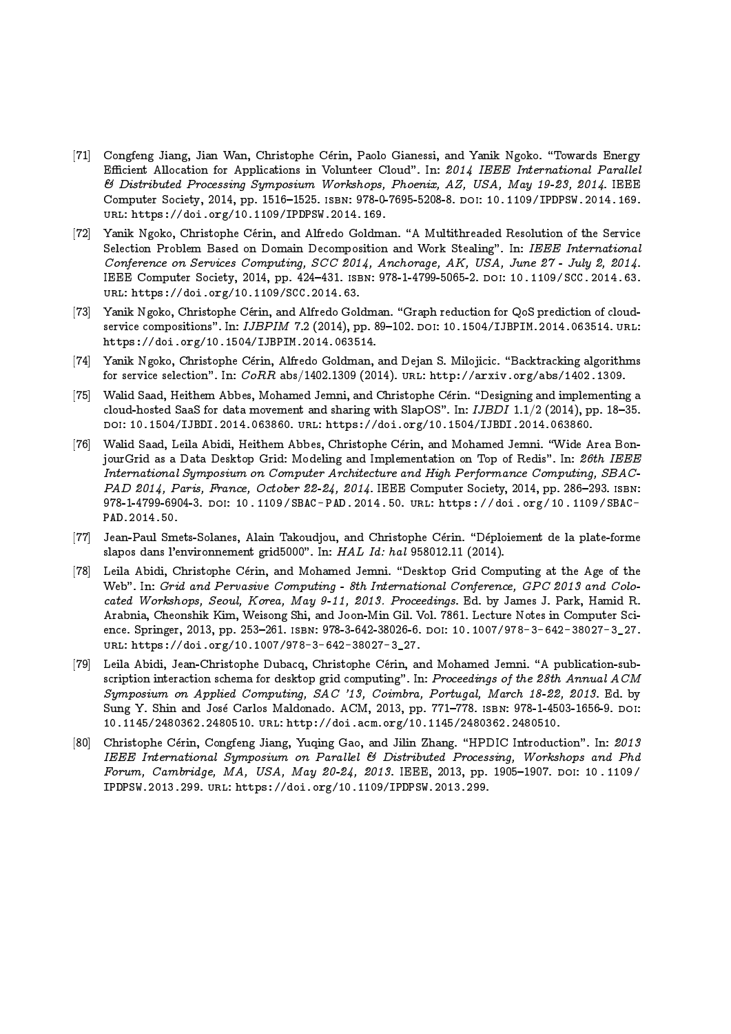- [71] Congfeng Jiang, Jian Wan, Christophe Cerin, Paolo Gianessi, and Yanik Ngoko. \Towards Energy Efficient Allocation for Applications in Volunteer Cloud". In: 2014 IEEE International Parallel & Distributed Processing Symposium Workshops, Phoenix, AZ, USA, May 19-23, 2014. IEEE Computer Society, 2014, pp. 1516-1525. ISBN: 978-0-7695-5208-8. DOI: 10.1109/IPDPSW.2014.169. url: https://doi.org/10.1109/IPDPSW.2014.169.
- [72] Yanik Ngoko, Christophe Cérin, and Alfredo Goldman. "A Multithreaded Resolution of the Service Selection Problem Based on Domain Decomposition and Work Stealing". In: IEEE International Conference on Services Computing, SCC 2014, Anchorage, AK, USA, June 27 - July 2, 2014. IEEE Computer Society, 2014, pp. 424-431. ISBN: 978-1-4799-5065-2. DOI: 10.1109/SCC.2014.63. url: https://doi.org/10.1109/SCC.2014.63.
- [73] Yanik Ngoko, Christophe Cérin, and Alfredo Goldman. "Graph reduction for QoS prediction of cloudservice compositions". In: IJBPIM 7.2 (2014), pp. 89-102. DOI: 10.1504/IJBPIM.2014.063514. URL: https://doi.org/10.1504/IJBPIM.2014.063514.
- [74] Yanik Ngoko, Christophe Cérin, Alfredo Goldman, and Dejan S. Milojicic. "Backtracking algorithms for service selection". In:  $CoRR$  abs/1402.1309 (2014). URL: http://arxiv.org/abs/1402.1309.
- [75] Walid Saad, Heithem Abbes, Mohamed Jemni, and Christophe Cérin. "Designing and implementing a cloud-hosted SaaS for data movement and sharing with SlapOS". In:  $IJBDI$  1.1/2 (2014), pp. 18-35. doi: 10.1504/IJBDI.2014.063860. url: https://doi.org/10.1504/IJBDI.2014.063860.
- [76] Walid Saad, Leila Abidi, Heithem Abbes, Christophe Cérin, and Mohamed Jemni. "Wide Area BonjourGrid as a Data Desktop Grid: Modeling and Implementation on Top of Redis". In: 26th IEEE International Symposium on Computer Architecture and High Performance Computing, SBAC-PAD 2014, Paris, France, October 22-24, 2014. IEEE Computer Society, 2014, pp. 286-293. ISBN: 978-1-4799-6904-3. doi: 10.1109/SBAC- PAD.2014.50. url: https://doi.org/10.1109/SBAC-PAD.2014.50.
- [77] Jean-Paul Smets-Solanes, Alain Takoudjou, and Christophe Cérin. "Déploiement de la plate-forme slapos dans l'environnement grid5000". In: HAL Id: hal 958012.11 (2014).
- [78] Leila Abidi, Christophe Cérin, and Mohamed Jemni. "Desktop Grid Computing at the Age of the Web". In: Grid and Pervasive Computing - 8th International Conference, GPC 2013 and Colocated Workshops, Seoul, Korea, May 9-11, 2013. Proceedings. Ed. by James J. Park, Hamid R. Arabnia, Cheonshik Kim, Weisong Shi, and Joon-Min Gil. Vol. 7861. Lecture Notes in Computer Science. Springer, 2013, pp. 253-261. ISBN: 978-3-642-38026-6. DOI: 10.1007/978-3-642-38027-3\_27. url: https://doi.org/10.1007/978-3-642-38027-3\_27.
- [79] Leila Abidi, Jean-Christophe Dubacq, Christophe Cérin, and Mohamed Jemni. "A publication-subscription interaction schema for desktop grid computing". In: Proceedings of the 28th Annual ACM Symposium on Applied Computing, SAC '13, Coimbra, Portugal, March 18-22, 2013. Ed. by Sung Y. Shin and José Carlos Maldonado. ACM, 2013, pp. 771-778. ISBN: 978-1-4503-1656-9. DOI: 10.1145/2480362.2480510. url: http://doi.acm.org/10.1145/2480362.2480510.
- [80] Christophe Cérin, Congfeng Jiang, Yuqing Gao, and Jilin Zhang. "HPDIC Introduction". In: 2013 IEEE International Symposium on Parallel & Distributed Processing, Workshops and Phd Forum, Cambridge, MA, USA, May 20-24, 2013. IEEE, 2013, pp. 1905-1907. DOI: 10.1109/ IPDPSW.2013.299. url: https://doi.org/10.1109/IPDPSW.2013.299.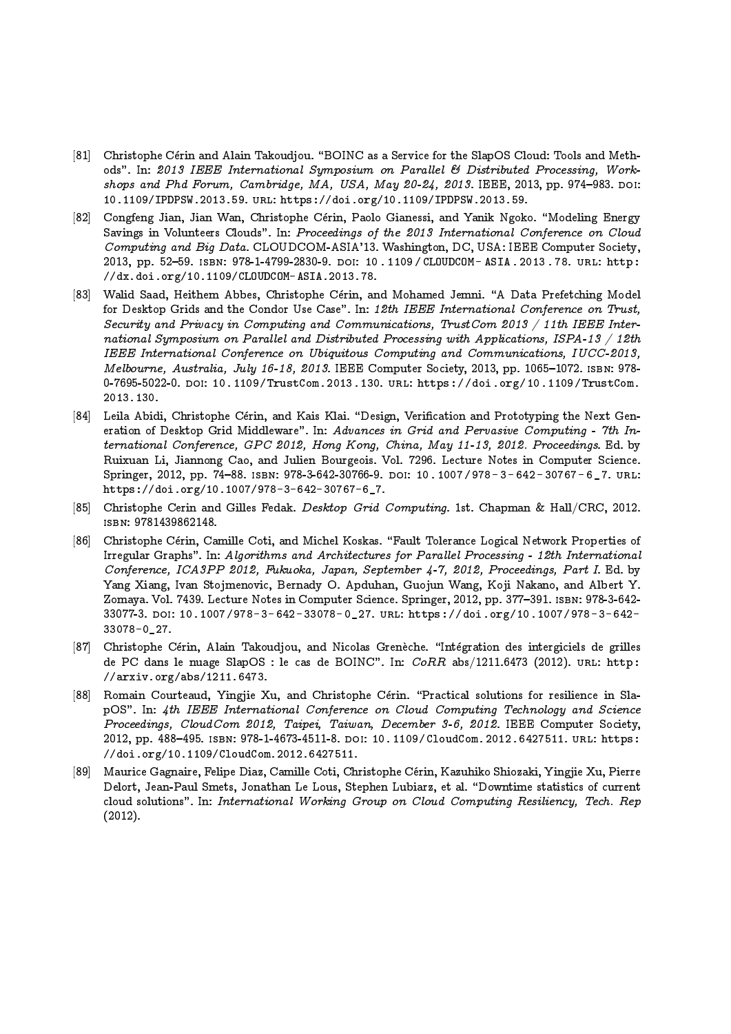- [81] Christophe Cérin and Alain Takoudjou. "BOINC as a Service for the SlapOS Cloud: Tools and Methods". In: 2013 IEEE International Symposium on Parallel & Distributed Processing, Workshops and Phd Forum, Cambridge, MA, USA, May 20-24, 2013. IEEE, 2013, pp. 974-983. DOI: 10.1109/IPDPSW.2013.59. url: https://doi.org/10.1109/IPDPSW.2013.59.
- [82] Congfeng Jian, Jian Wan, Christophe Cérin, Paolo Gianessi, and Yanik Ngoko. "Modeling Energy Savings in Volunteers Clouds". In: Proceedings of the 2013 International Conference on Cloud Computing and Big Data. CLOUDCOM-ASIA'13. Washington, DC, USA: IEEE Computer Society, 2013, pp. 52-59. ISBN: 978-1-4799-2830-9. DOI: 10. 1109/CLOUDCOM-ASIA.2013.78. URL: http: //dx.doi.org/10.1109/CLOUDCOM-ASIA.2013.78.
- [83] Walid Saad, Heithem Abbes, Christophe Cérin, and Mohamed Jemni. "A Data Prefetching Model for Desktop Grids and the Condor Use Case". In: 12th IEEE International Conference on Trust, Security and Privacy in Computing and Communications, TrustCom 2013 / 11th IEEE International Symposium on Parallel and Distributed Processing with Applications, ISPA-13 / 12th IEEE International Conference on Ubiquitous Computing and Communications, IUCC-2013, Melbourne, Australia, July 16-18, 2013. IEEE Computer Society, 2013, pp. 1065-1072. ISBN: 978-0-7695-5022-0. DOI: 10.1109/TrustCom.2013.130. URL: https://doi.org/10.1109/TrustCom. 2013.130.
- [84] Leila Abidi, Christophe Cérin, and Kais Klai. "Design, Verification and Prototyping the Next Generation of Desktop Grid Middleware". In: Advances in Grid and Pervasive Computing - 7th International Conference, GPC 2012, Hong Kong, China, May 11-13, 2012. Proceedings. Ed. by Ruixuan Li, Jiannong Cao, and Julien Bourgeois. Vol. 7296. Lecture Notes in Computer Science. Springer, 2012, pp. 74-88. ISBN: 978-3-642-30766-9. DOI: 10.1007/978-3-642-30767-6\_7. URL: https://doi.org/10.1007/978-3-642-30767-6\_7.
- [85] Christophe Cerin and Gilles Fedak. Desktop Grid Computing. 1st. Chapman & Hall/CRC, 2012. isbn: 9781439862148.
- [86] Christophe Cérin, Camille Coti, and Michel Koskas. "Fault Tolerance Logical Network Properties of Irregular Graphs". In: Algorithms and Architectures for Parallel Processing - 12th International Conference, ICA3PP 2012, Fukuoka, Japan, September 4-7, 2012, Proceedings, Part I. Ed. by Yang Xiang, Ivan Stojmenovic, Bernady O. Apduhan, Guojun Wang, Koji Nakano, and Albert Y. Zomaya. Vol. 7439. Lecture Notes in Computer Science. Springer, 2012, pp. 377–391. ISBN: 978-3-642-33077-3. doi: 10.1007/978- 3- 642- 33078- 0\_27. url: https://doi.org/10.1007/978- 3- 642- 33078-0\_27.
- [87] Christophe Cérin, Alain Takoudjou, and Nicolas Grenèche. "Intégration des intergiciels de grilles de PC dans le nuage SlapOS : le cas de BOINC". In: CoRR abs/1211.6473 (2012). URL: http : //arxiv.org/abs/1211.6473.
- [88] Romain Courteaud, Yingjie Xu, and Christophe Cérin. "Practical solutions for resilience in SlapOS". In: 4th IEEE International Conference on Cloud Computing Technology and Science Proceedings, CloudCom 2012, Taipei, Taiwan, December 3-6, 2012. IEEE Computer Society, 2012, pp. 488-495. ISBN: 978-1-4673-4511-8. DOI: 10.1109/CloudCom.2012.6427511. URL: https: //doi.org/10.1109/CloudCom.2012.6427511.
- [89] Maurice Gagnaire, Felipe Diaz, Camille Coti, Christophe Cerin, Kazuhiko Shiozaki, Yingjie Xu, Pierre Delort, Jean-Paul Smets, Jonathan Le Lous, Stephen Lubiarz, et al. "Downtime statistics of current cloud solutions". In: International Working Group on Cloud Computing Resiliency, Tech. Rep  $(2012).$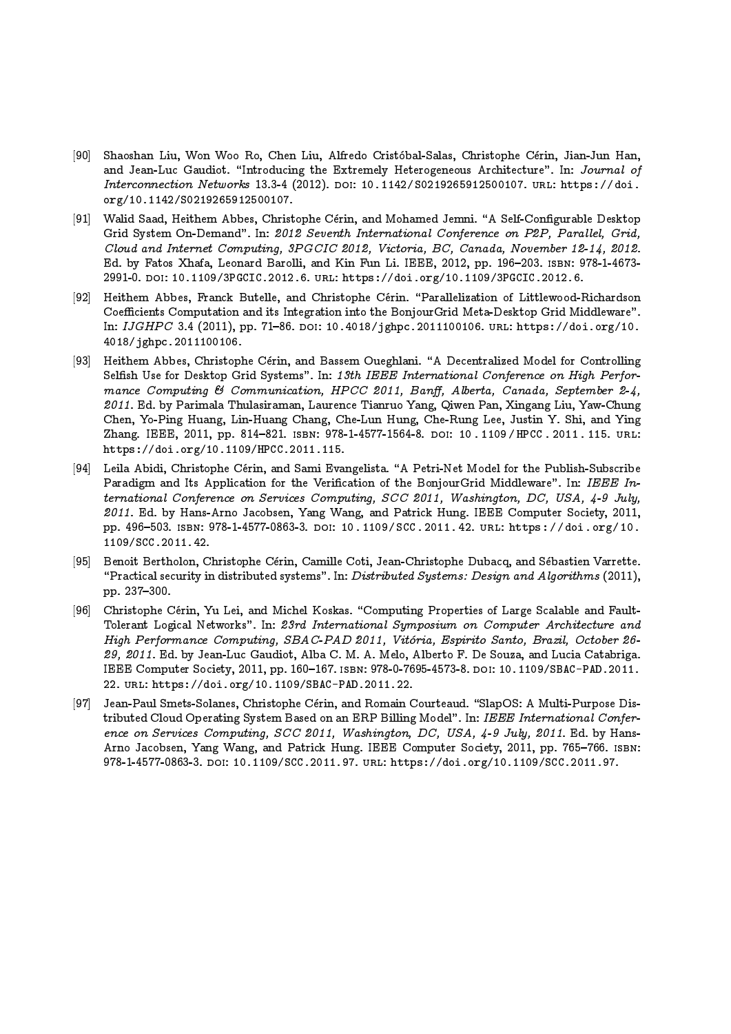- [90] Shaoshan Liu, Won Woo Ro, Chen Liu, Alfredo Cristobal-Salas, Christophe Cerin, Jian-Jun Han, and Jean-Luc Gaudiot. "Introducing the Extremely Heterogeneous Architecture". In: Journal of Interconnection Networks 13.3-4 (2012). DOI: 10.1142/S0219265912500107. URL: https://doi. org/10.1142/S0219265912500107.
- [91] Walid Saad, Heithem Abbes, Christophe Cérin, and Mohamed Jemni. "A Self-Configurable Desktop Grid System On-Demand". In: 2012 Seventh International Conference on P2P, Parallel, Grid, Cloud and Internet Computing, 3PGCIC 2012, Victoria, BC, Canada, November 12-14, 2012. Ed. by Fatos Xhafa, Leonard Barolli, and Kin Fun Li. IEEE, 2012, pp. 196–203. ISBN: 978-1-4673-2991-0. doi: 10.1109/3PGCIC.2012.6. url: https://doi.org/10.1109/3PGCIC.2012.6.
- [92] Heithem Abbes, Franck Butelle, and Christophe Cérin. "Parallelization of Littlewood-Richardson Coefficients Computation and its Integration into the BonjourGrid Meta-Desktop Grid Middleware". In:  $JGHPC$  3.4 (2011), pp. 71-86. DOI: 10.4018/jghpc.2011100106. URL: https://doi.org/10. 4018/jghpc.2011100106.
- [93] Heithem Abbes, Christophe Cérin, and Bassem Oueghlani. "A Decentralized Model for Controlling Selsh Use for Desktop Grid Systems". In: 13th IEEE International Conference on High Performance Computing & Communication, HPCC 2011, Banff, Alberta, Canada, September 2-4, 2011. Ed. by Parimala Thulasiraman, Laurence Tianruo Yang, Qiwen Pan, Xingang Liu, Yaw-Chung Chen, Yo-Ping Huang, Lin-Huang Chang, Che-Lun Hung, Che-Rung Lee, Justin Y. Shi, and Ying Zhang. IEEE, 2011, pp. 814-821. ISBN: 978-1-4577-1564-8. DOI: 10.1109/HPCC. 2011.115. URL: https://doi.org/10.1109/HPCC.2011.115.
- [94] Leila Abidi, Christophe Cérin, and Sami Evangelista. "A Petri-Net Model for the Publish-Subscribe Paradigm and Its Application for the Verification of the BonjourGrid Middleware". In: IEEE International Conference on Services Computing, SCC 2011, Washington, DC, USA, 4-9 July, 2011. Ed. by Hans-Arno Jacobsen, Yang Wang, and Patrick Hung. IEEE Computer Society, 2011, pp. 496-503. ISBN: 978-1-4577-0863-3. DOI: 10.1109/SCC.2011.42. URL: https://doi.org/10. 1109/SCC.2011.42.
- [95] Benoit Bertholon, Christophe Cerin, Camille Coti, Jean-Christophe Dubacq, and Sebastien Varrette. "Practical security in distributed systems". In: Distributed Systems: Design and Algorithms (2011), pp. 237-300.
- [96] Christophe Cérin, Yu Lei, and Michel Koskas. "Computing Properties of Large Scalable and Fault-Tolerant Logical Networks". In: 23rd International Symposium on Computer Architecture and High Performance Computing, SBAC-PAD 2011, Vitoria, Espirito Santo, Brazil, October 26- 29, 2011. Ed. by Jean-Luc Gaudiot, Alba C. M. A. Melo, Alberto F. De Souza, and Lucia Catabriga. IEEE Computer Society, 2011, pp. 160-167. ISBN: 978-0-7695-4573-8. DOI: 10.1109/SBAC-PAD.2011. 22. url: https://doi.org/10.1109/SBAC-PAD.2011.22.
- [97] Jean-Paul Smets-Solanes, Christophe Cérin, and Romain Courteaud. "SlapOS: A Multi-Purpose Distributed Cloud Operating System Based on an ERP Billing Model". In: IEEE International Conference on Services Computing, SCC 2011, Washington, DC, USA, 4-9 July, 2011. Ed. by Hans-Arno Jacobsen, Yang Wang, and Patrick Hung. IEEE Computer Society, 2011, pp. 765-766. ISBN: 978-1-4577-0863-3. doi: 10.1109/SCC.2011.97. url: https://doi.org/10.1109/SCC.2011.97.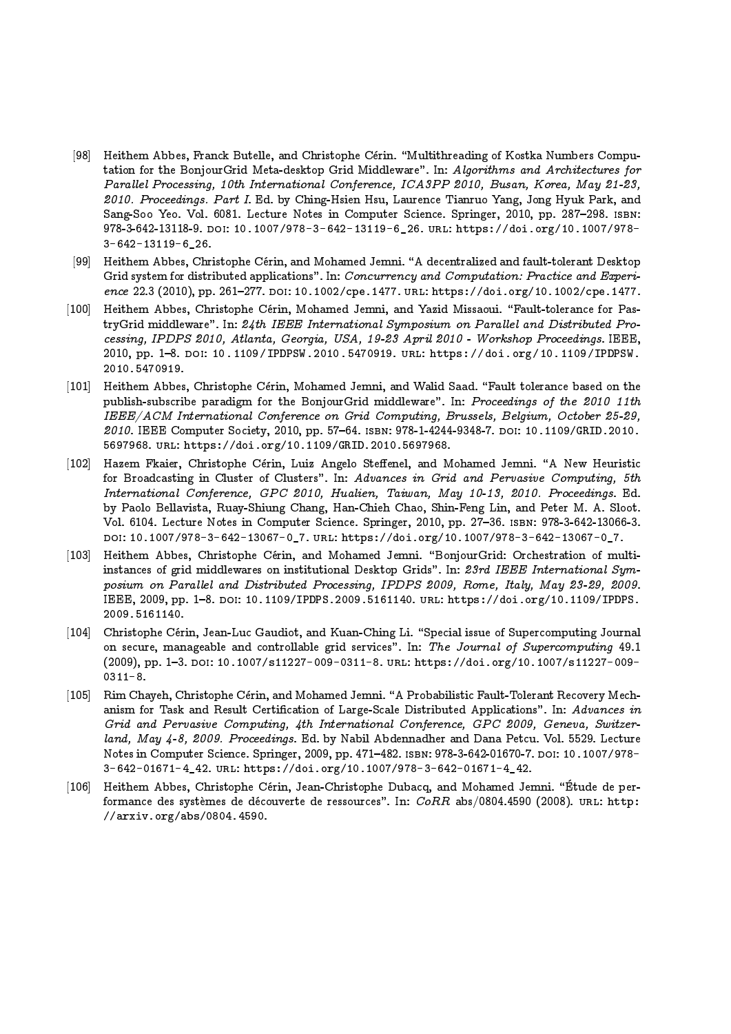- [98] Heithem Abbes, Franck Butelle, and Christophe Cérin. "Multithreading of Kostka Numbers Computation for the BonjourGrid Meta-desktop Grid Middleware". In: Algorithms and Architectures for Parallel Processing, 10th International Conference, ICA3PP 2010, Busan, Korea, May 21-23, 2010. Proceedings. Part I. Ed. by Ching-Hsien Hsu, Laurence Tianruo Yang, Jong Hyuk Park, and Sang-Soo Yeo. Vol. 6081. Lecture Notes in Computer Science. Springer, 2010, pp. 287–298. Isbn: 978-3-642-13118-9. doi: 10.1007/978-3-642-13119-6\_26. url: https://doi.org/10.1007/978- 3-642-13119-6\_26.
- [99] Heithem Abbes, Christophe Cérin, and Mohamed Jemni. "A decentralized and fault-tolerant Desktop Grid system for distributed applications". In: Concurrency and Computation: Practice and Experience 22.3 (2010), pp. 261-277. DOI: 10.1002/cpe.1477. URL: https://doi.org/10.1002/cpe.1477.
- [100] Heithem Abbes, Christophe Cérin, Mohamed Jemni, and Yazid Missaoui. "Fault-tolerance for PastryGrid middleware". In: 24th IEEE International Symposium on Parallel and Distributed Processing, IPDPS 2010, Atlanta, Georgia, USA, 19-23 April 2010 - Workshop Proceedings. IEEE, 2010, pp. 1{8. doi: 10.1109/IPDPSW.2010.5470919. url: https://doi.org/10.1109/IPDPSW. 2010.5470919.
- [101] Heithem Abbes, Christophe Cérin, Mohamed Jemni, and Walid Saad. "Fault tolerance based on the publish-subscribe paradigm for the BonjourGrid middleware". In: Proceedings of the 2010 11th IEEE/ACM International Conference on Grid Computing, Brussels, Belgium, October 25-29, 2010. IEEE Computer Society, 2010, pp. 57-64. ISBN: 978-1-4244-9348-7. DOI: 10.1109/GRID.2010. 5697968. url: https://doi.org/10.1109/GRID.2010.5697968.
- [102] Hazem Fkaier, Christophe Cérin, Luiz Angelo Steffenel, and Mohamed Jemni. "A New Heuristic for Broadcasting in Cluster of Clusters". In: Advances in Grid and Pervasive Computing, 5th International Conference, GPC 2010, Hualien, Taiwan, May 10-13, 2010. Proceedings. Ed. by Paolo Bellavista, Ruay-Shiung Chang, Han-Chieh Chao, Shin-Feng Lin, and Peter M. A. Sloot. Vol. 6104. Lecture Notes in Computer Science. Springer, 2010, pp. 27-36. ISBN: 978-3-642-13066-3. doi: 10.1007/978-3-642-13067-0\_7. url: https://doi.org/10.1007/978-3-642-13067-0\_7.
- [103] Heithem Abbes, Christophe Cérin, and Mohamed Jemni. "BonjourGrid: Orchestration of multiinstances of grid middlewares on institutional Desktop Grids". In: 23rd IEEE International Symposium on Parallel and Distributed Processing, IPDPS 2009, Rome, Italy, May 23-29, 2009. IEEE, 2009, pp. 1-8. DOI: 10.1109/IPDPS.2009.5161140. URL: https://doi.org/10.1109/IPDPS. 2009.5161140.
- [104] Christophe Cérin, Jean-Luc Gaudiot, and Kuan-Ching Li. "Special issue of Supercomputing Journal on secure, manageable and controllable grid services". In: The Journal of Supercomputing 49.1 (2009), pp. 1-3. DOI: 10.1007/s11227-009-0311-8. URL: https://doi.org/10.1007/s11227-009- $0311 - 8.$
- [105] Rim Chayeh, Christophe Cérin, and Mohamed Jemni. "A Probabilistic Fault-Tolerant Recovery Mechanism for Task and Result Certification of Large-Scale Distributed Applications". In: Advances in Grid and Pervasive Computing, 4th International Conference, GPC 2009, Geneva, Switzerland, May 4-8, 2009. Proceedings. Ed. by Nabil Abdennadher and Dana Petcu. Vol. 5529. Lecture Notes in Computer Science. Springer, 2009, pp. 471-482. ISBN: 978-3-642-01670-7. DOI: 10.1007/978-3-642-01671-4\_42. url: https://doi.org/10.1007/978-3-642-01671-4\_42.
- [106] Heithem Abbes, Christophe Cérin, Jean-Christophe Dubacq, and Mohamed Jemni. "Étude de performance des systèmes de découverte de ressources". In: CoRR abs/0804.4590 (2008). URL: http: //arxiv.org/abs/0804.4590.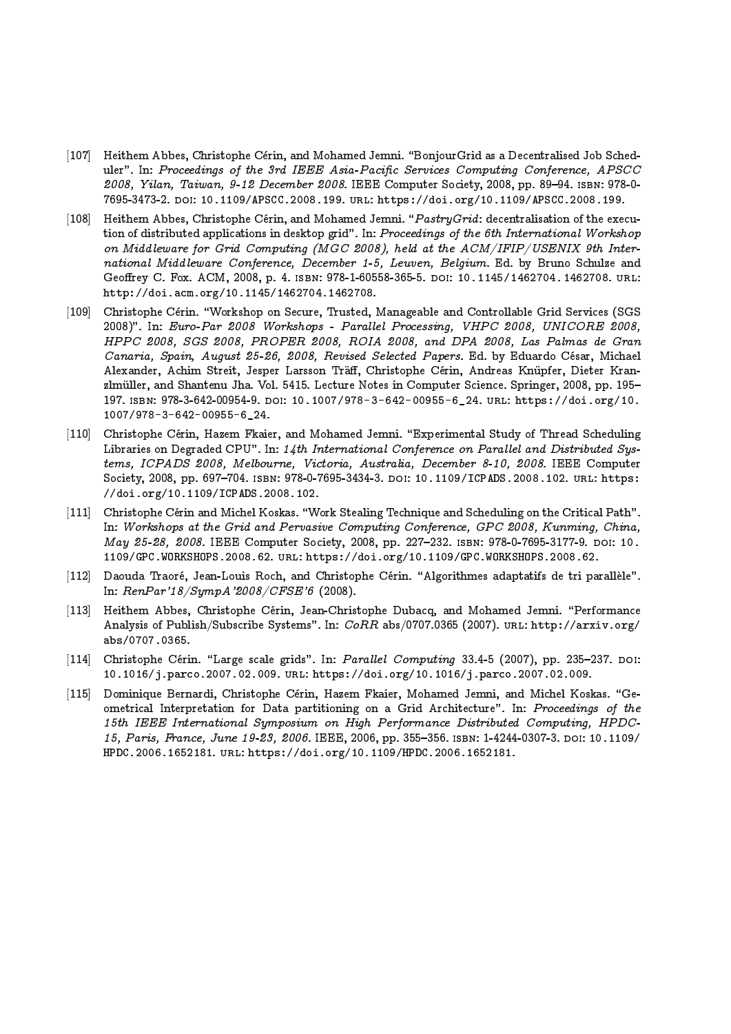- [107] Heithem Abbes, Christophe Cérin, and Mohamed Jemni. "BonjourGrid as a Decentralised Job Scheduler". In: Proceedings of the 3rd IEEE Asia-Pacific Services Computing Conference, APSCC 2008, Yilan, Taiwan, 9-12 December 2008. IEEE Computer Society, 2008, pp. 89-94. ISBN: 978-0-7695-3473-2. doi: 10.1109/APSCC.2008.199. url: https://doi.org/10.1109/APSCC.2008.199.
- [108] Heithem Abbes, Christophe Cérin, and Mohamed Jemni. " $PastryGrid$ : decentralisation of the execution of distributed applications in desktop grid". In: Proceedings of the 6th International Workshop on Middleware for Grid Computing (MGC 2008), held at the ACM/IFIP/USENIX 9th International Middleware Conference, December 1-5, Leuven, Belgium. Ed. by Bruno Schulze and Geoffrey C. Fox. ACM, 2008, p. 4. ISBN: 978-1-60558-365-5. DOI: 10.1145/1462704.1462708. URL: http://doi.acm.org/10.1145/1462704.1462708.
- [109] Christophe Cerin. \Workshop on Secure, Trusted, Manageable and Controllable Grid Services (SGS 2008)". In: Euro-Par 2008 Workshops - Parallel Processing, VHPC 2008, UNICORE 2008, HPPC 2008, SGS 2008, PROPER 2008, ROIA 2008, and DPA 2008, Las Palmas de Gran Canaria, Spain, August 25-26, 2008, Revised Selected Papers. Ed. by Eduardo César, Michael Alexander, Achim Streit, Jesper Larsson Träff, Christophe Cérin, Andreas Knüpfer, Dieter Kranzlmüller, and Shantenu Jha. Vol. 5415. Lecture Notes in Computer Science. Springer, 2008, pp. 195-197. isbn: 978-3-642-00954-9. doi: 10.1007/978-3-642-00955-6\_24. url: https://doi.org/10. 1007/978-3-642-00955-6\_24.
- [110] Christophe Cerin, Hazem Fkaier, and Mohamed Jemni. \Experimental Study of Thread Scheduling Libraries on Degraded CPU". In: 14th International Conference on Parallel and Distributed Systems, ICPADS 2008, Melbourne, Victoria, Australia, December 8-10, 2008. IEEE Computer Society, 2008, pp. 697-704. ISBN: 978-0-7695-3434-3. DOI: 10.1109/ICPADS.2008.102. URL: https: //doi.org/10.1109/ICPADS.2008.102.
- [111] Christophe Cérin and Michel Koskas. "Work Stealing Technique and Scheduling on the Critical Path". In: Workshops at the Grid and Pervasive Computing Conference, GPC 2008, Kunming, China, May 25-28, 2008. IEEE Computer Society, 2008, pp. 227-232. ISBN: 978-0-7695-3177-9. DOI: 10. 1109/GPC.WORKSHOPS.2008.62. url: https://doi.org/10.1109/GPC.WORKSHOPS.2008.62.
- [112] Daouda Traoré, Jean-Louis Roch, and Christophe Cérin. "Algorithmes adaptatifs de tri parallèle". In: RenPar'18/SympA'2008/CFSE'6 (2008).
- [113] Heithem Abbes, Christophe Cérin, Jean-Christophe Dubacq, and Mohamed Jemni. "Performance Analysis of Publish/Subscribe Systems". In:  $CoRR$  abs/0707.0365 (2007). URL: http://arxiv.org/ abs/0707.0365.
- $[114]$  Christophe Cérin. "Large scale grids". In: Parallel Computing 33.4-5 (2007), pp. 235-237. DOI: 10.1016/j.parco.2007.02.009. url: https://doi.org/10.1016/j.parco.2007.02.009.
- [115] Dominique Bernardi, Christophe Cérin, Hazem Fkaier, Mohamed Jemni, and Michel Koskas. "Geometrical Interpretation for Data partitioning on a Grid Architecture". In: Proceedings of the 15th IEEE International Symposium on High Performance Distributed Computing, HPDC-15, Paris, France, June 19-23, 2006. IEEE, 2006, pp. 355-356. ISBN: 1-4244-0307-3. DOI: 10.1109/ HPDC.2006.1652181. url: https://doi.org/10.1109/HPDC.2006.1652181.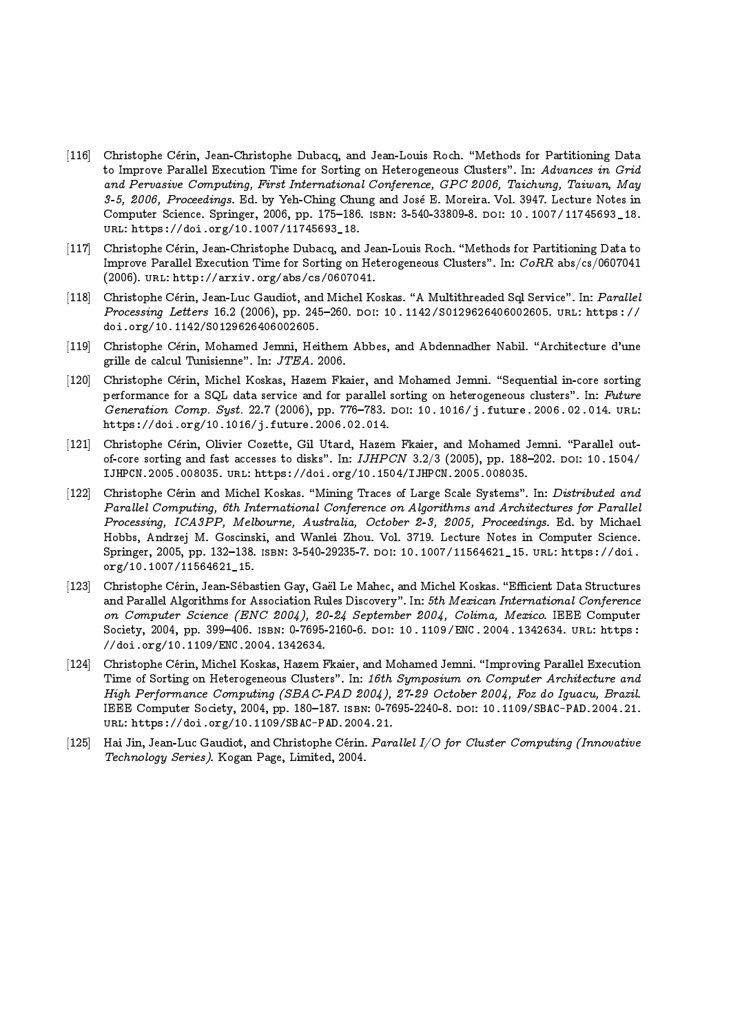- [116] Christophe Cérin, Jean-Christophe Dubacq, and Jean-Louis Roch. "Methods for Partitioning Data to Improve Parallel Execution Time for Sorting on Heterogeneous Clusters". In: Advances in Grid and Pervasive Computing, First International Conference, GPC 2006, Taichung, Taiwan, May 3-5, 2006, Proceedings. Ed. by Yeh-Ching Chung and Jose E. Moreira. Vol. 3947. Lecture Notes in Computer Science. Springer, 2006, pp. 175-186. ISBN: 3-540-33809-8. DOI: 10.1007/11745693\_18. url: https://doi.org/10.1007/11745693\_18.
- [117] Christophe Cérin, Jean-Christophe Dubacq, and Jean-Louis Roch. "Methods for Partitioning Data to Improve Parallel Execution Time for Sorting on Heterogeneous Clusters". In: CoRR abs/cs/0607041 (2006). url: http://arxiv.org/abs/cs/0607041.
- [118] Christophe Cérin, Jean-Luc Gaudiot, and Michel Koskas. "A Multithreaded Sql Service". In: Parallel Processing Letters 16.2 (2006), pp. 245-260. DOI: 10.1142/S0129626406002605. URL: https:// doi.org/10.1142/S0129626406002605.
- [119] Christophe Cérin, Mohamed Jemni, Heithem Abbes, and Abdennadher Nabil. "Architecture d'une grille de calcul Tunisienne". In: JTEA. 2006.
- [120] Christophe Cérin, Michel Koskas, Hazem Fkaier, and Mohamed Jemni. "Sequential in-core sorting performance for a SQL data service and for parallel sorting on heterogeneous clusters". In: Future Generation Comp. Syst. 22.7 (2006), pp. 776-783. DOI: 10.1016/j.future.2006.02.014. URL: https://doi.org/10.1016/j.future.2006.02.014.
- [121] Christophe Cérin, Olivier Cozette, Gil Utard, Hazem Fkaier, and Mohamed Jemni. "Parallel outof-core sorting and fast accesses to disks". In:  $IJIHCN$  3.2/3 (2005), pp. 188-202. DOI: 10.1504/ IJHPCN.2005.008035. url: https://doi.org/10.1504/IJHPCN.2005.008035.
- [122] Christophe Cérin and Michel Koskas. "Mining Traces of Large Scale Systems". In: Distributed and Parallel Computing, 6th International Conference on Algorithms and Architectures for Parallel Processing, ICA3PP, Melbourne, Australia, October 2-3, 2005, Proceedings. Ed. by Michael Hobbs, Andrzej M. Goscinski, and Wanlei Zhou. Vol. 3719. Lecture Notes in Computer Science. Springer, 2005, pp. 132-138. ISBN: 3-540-29235-7. DOI: 10.1007/11564621\_15. URL: https://doi. org/10.1007/11564621\_15.
- [123] Christophe Cérin, Jean-Sébastien Gay, Gaël Le Mahec, and Michel Koskas. "Efficient Data Structures and Parallel Algorithms for Association Rules Discovery". In: 5th Mexican International Conference on Computer Science (ENC 2004), 20-24 September 2004, Colima, Mexico. IEEE Computer Society, 2004, pp. 399-406. ISBN: 0-7695-2160-6. DOI: 10.1109/ENC.2004.1342634. URL: https: //doi.org/10.1109/ENC.2004.1342634.
- [124] Christophe Cérin, Michel Koskas, Hazem Fkaier, and Mohamed Jemni. "Improving Parallel Execution Time of Sorting on Heterogeneous Clusters". In: 16th Symposium on Computer Architecture and High Performance Computing (SBAC-PAD 2004), 27-29 October 2004, Foz do Iguacu, Brazil. IEEE Computer Society, 2004, pp. 180-187. ISBN: 0-7695-2240-8. DOI: 10.1109/SBAC-PAD.2004.21. url: https://doi.org/10.1109/SBAC-PAD.2004.21.
- [125] Hai Jin, Jean-Luc Gaudiot, and Christophe Cérin. Parallel I/O for Cluster Computing (Innovative Technology Series). Kogan Page, Limited, 2004.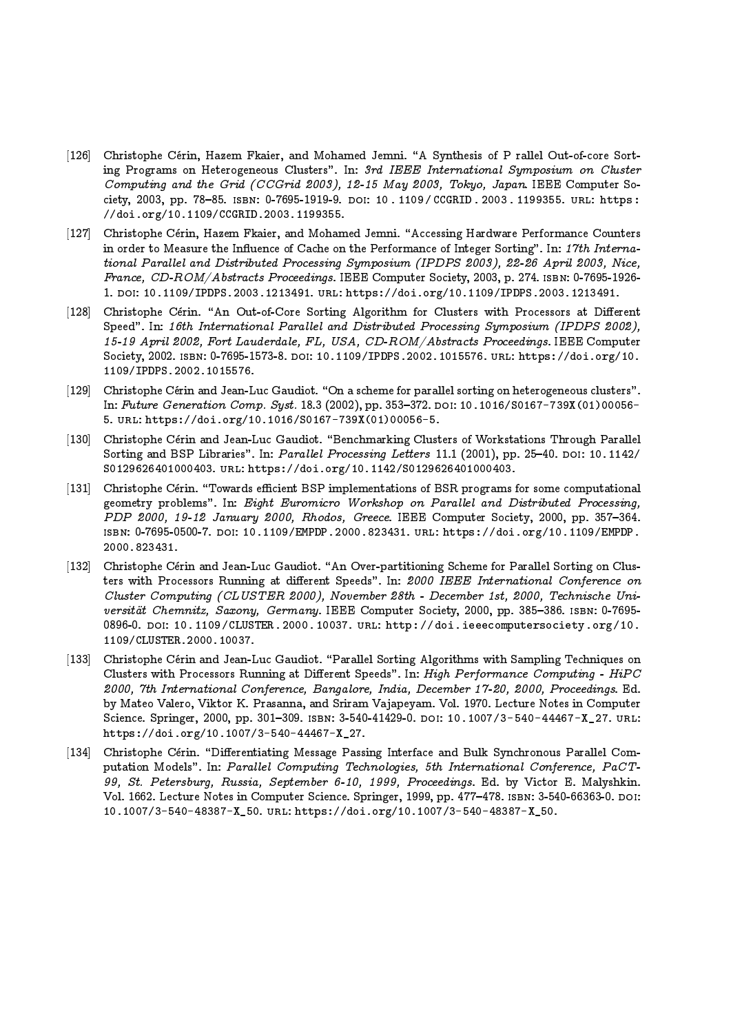- [126] Christophe Cérin, Hazem Fkaier, and Mohamed Jemni. "A Synthesis of P rallel Out-of-core Sorting Programs on Heterogeneous Clusters". In: 3rd IEEE International Symposium on Cluster Computing and the Grid (CCGrid 2003), 12-15 May 2003, Tokyo, Japan. IEEE Computer Society, 2003, pp. 78-85. ISBN: 0-7695-1919-9. DOI: 10. 1109/CCGRID. 2003. 1199355. URL: https: //doi.org/10.1109/CCGRID.2003.1199355.
- [127] Christophe Cérin, Hazem Fkaier, and Mohamed Jemni. "Accessing Hardware Performance Counters in order to Measure the Influence of Cache on the Performance of Integer Sorting". In: 17th International Parallel and Distributed Processing Symposium (IPDPS 2003), 22-26 April 2003, Nice, France, CD-ROM/Abstracts Proceedings. IEEE Computer Society, 2003, p. 274. isbn: 0-7695-1926- 1. doi: 10.1109/IPDPS.2003.1213491. url: https://doi.org/10.1109/IPDPS.2003.1213491.
- [128] Christophe Cérin. "An Out-of-Core Sorting Algorithm for Clusters with Processors at Different Speed". In: 16th International Parallel and Distributed Processing Symposium (IPDPS 2002), 15-19 April 2002, Fort Lauderdale, FL, USA, CD-ROM/Abstracts Proceedings. IEEE Computer Society, 2002. isbn: 0-7695-1573-8. doi: 10.1109/IPDPS.2002.1015576. url: https://doi.org/10. 1109/IPDPS.2002.1015576.
- [129] Christophe Cérin and Jean-Luc Gaudiot. "On a scheme for parallel sorting on heterogeneous clusters". In: Future Generation Comp. Syst. 18.3 (2002), pp. 353-372. DOI: 10.1016/S0167-739X(01)00056-5. url: https://doi.org/10.1016/S0167-739X(01)00056-5.
- [130] Christophe Cérin and Jean-Luc Gaudiot. "Benchmarking Clusters of Workstations Through Parallel Sorting and BSP Libraries". In: Parallel Processing Letters 11.1 (2001), pp. 25-40. DOI: 10.1142/ S0129626401000403. url: https://doi.org/10.1142/S0129626401000403.
- [131] Christophe Cérin. "Towards efficient BSP implementations of BSR programs for some computational geometry problems". In: Eight Euromicro Workshop on Parallel and Distributed Processing, PDP 2000, 19-12 January 2000, Rhodos, Greece. IEEE Computer Society, 2000, pp. 357-364. isbn: 0-7695-0500-7. doi: 10.1109/EMPDP.2000.823431. url: https://doi.org/10.1109/EMPDP. 2000.823431.
- [132] Christophe Cérin and Jean-Luc Gaudiot. "An Over-partitioning Scheme for Parallel Sorting on Clusters with Processors Running at different Speeds". In: 2000 IEEE International Conference on Cluster Computing (CLUSTER 2000), November 28th - December 1st, 2000, Technische Universität Chemnitz, Saxony, Germany. IEEE Computer Society, 2000, pp. 385-386. ISBN: 0-7695-0896-0. DOI: 10.1109/CLUSTER.2000.10037. URL: http://doi.ieeecomputersociety.org/10. 1109/CLUSTER.2000.10037.
- [133] Christophe Cérin and Jean-Luc Gaudiot. "Parallel Sorting Algorithms with Sampling Techniques on Clusters with Processors Running at Different Speeds". In: High Performance Computing -  $HiPC$ 2000, 7th International Conference, Bangalore, India, December 17-20, 2000, Proceedings. Ed. by Mateo Valero, Viktor K. Prasanna, and Sriram Vajapeyam. Vol. 1970. Lecture Notes in Computer Science. Springer, 2000, pp. 301-309. ISBN: 3-540-41429-0. DOI: 10.1007/3-540-44467-X\_27. URL: https://doi.org/10.1007/3-540-44467-X\_27.
- [134] Christophe Cérin. "Differentiating Message Passing Interface and Bulk Synchronous Parallel Computation Models". In: Parallel Computing Technologies, 5th International Conference, PaCT-99, St. Petersburg, Russia, September 6-10, 1999, Proceedings. Ed. by Victor E. Malyshkin. Vol. 1662. Lecture Notes in Computer Science. Springer, 1999, pp. 477-478. ISBN: 3-540-66363-0. DOI: 10.1007/3-540-48387-X\_50. url: https://doi.org/10.1007/3-540-48387-X\_50.